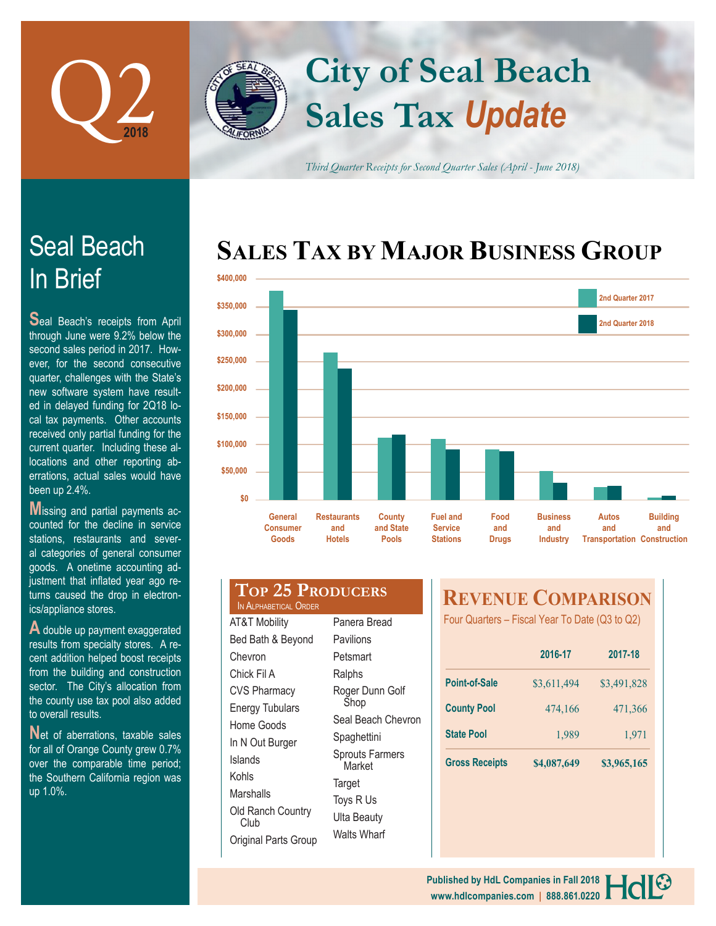

# **Sales Tax** *Update* **City of Seal Beach**

*Third Quarter Receipts for Second Quarter Sales (April - June 2018)*

# **SALES TAX BY MAJOR BUSINESS GROUP**



# In Brief Seal Beach

**S**eal Beach's receipts from April through June were 9.2% below the second sales period in 2017. However, for the second consecutive quarter, challenges with the State's new software system have resulted in delayed funding for 2Q18 local tax payments. Other accounts received only partial funding for the current quarter. Including these allocations and other reporting aberrations, actual sales would have been up 2.4%.

**M**issing and partial payments accounted for the decline in service stations, restaurants and several categories of general consumer goods. A onetime accounting adjustment that inflated year ago returns caused the drop in electronics/appliance stores.

**A** double up payment exaggerated results from specialty stores. A recent addition helped boost receipts from the building and construction sector. The City's allocation from the county use tax pool also added to overall results.

Net of aberrations, taxable sales for all of Orange County grew 0.7% over the comparable time period; the Southern California region was up 1.0%.

## **Top 25 Producers** IN ALPHABETICAL ORDE

AT&T Mobility Bed Bath & Beyond Chevron Chick Fil A CVS Pharmacy Energy Tubulars Home Goods In N Out Burger Islands Kohls Marshalls Old Ranch Country Club Original Parts Group

| ₹ |                                  |  |  |  |  |
|---|----------------------------------|--|--|--|--|
|   | Panera Bread                     |  |  |  |  |
|   | Pavilions                        |  |  |  |  |
|   | Petsmart                         |  |  |  |  |
|   | Ralphs                           |  |  |  |  |
|   | Roger Dunn Golf<br>Shop          |  |  |  |  |
|   | Seal Beach Chevron               |  |  |  |  |
|   | Spaghettini                      |  |  |  |  |
|   | <b>Sprouts Farmers</b><br>Market |  |  |  |  |
|   | Target                           |  |  |  |  |
|   | Toys R Us                        |  |  |  |  |
|   | Ulta Beauty                      |  |  |  |  |
|   | Walts Wharf                      |  |  |  |  |

# **REVENUE COMPARISON**

Four Quarters – Fiscal Year To Date (Q3 to Q2)

|                       | 2016-17     | 2017-18     |  |
|-----------------------|-------------|-------------|--|
| <b>Point-of-Sale</b>  | \$3,611,494 | \$3,491,828 |  |
| <b>County Pool</b>    | 474,166     | 471,366     |  |
| <b>State Pool</b>     | 1,989       | 1,971       |  |
| <b>Gross Receipts</b> | \$4,087,649 | \$3,965,165 |  |